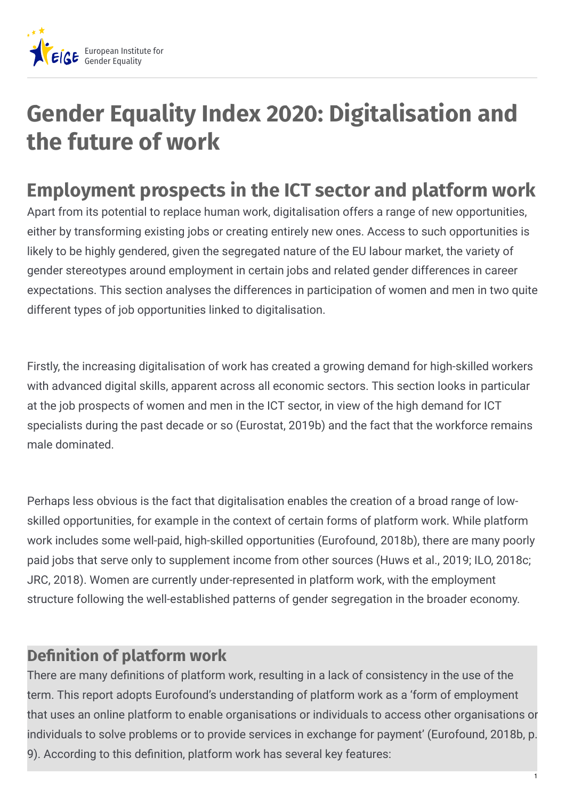

# **Gender Equality Index 2020: Digitalisation and the future of work**

## **Employment prospects in the ICT sector and platform work**

Apart from its potential to replace human work, digitalisation offers a range of new opportunities, either by transforming existing jobs or creating entirely new ones. Access to such opportunities is likely to be highly gendered, given the segregated nature of the EU labour market, the variety of gender stereotypes around employment in certain jobs and related gender differences in career expectations. This section analyses the differences in participation of women and men in two quite different types of job opportunities linked to digitalisation.

Firstly, the increasing digitalisation of work has created a growing demand for high-skilled workers with advanced digital skills, apparent across all economic sectors. This section looks in particular at the job prospects of women and men in the ICT sector, in view of the high demand for ICT specialists during the past decade or so (Eurostat, 2019b) and the fact that the workforce remains male dominated.

Perhaps less obvious is the fact that digitalisation enables the creation of a broad range of lowskilled opportunities, for example in the context of certain forms of platform work. While platform work includes some well-paid, high-skilled opportunities (Eurofound, 2018b), there are many poorly paid jobs that serve only to supplement income from other sources (Huws et al., 2019; ILO, 2018c; JRC, 2018). Women are currently under-represented in platform work, with the employment structure following the well-established patterns of gender segregation in the broader economy.

#### **Definition of platform work**

There are many definitions of platform work, resulting in a lack of consistency in the use of the term. This report adopts Eurofound's understanding of platform work as a 'form of employment that uses an online platform to enable organisations or individuals to access other organisations or individuals to solve problems or to provide services in exchange for payment' (Eurofound, 2018b, p. 9). According to this definition, platform work has several key features: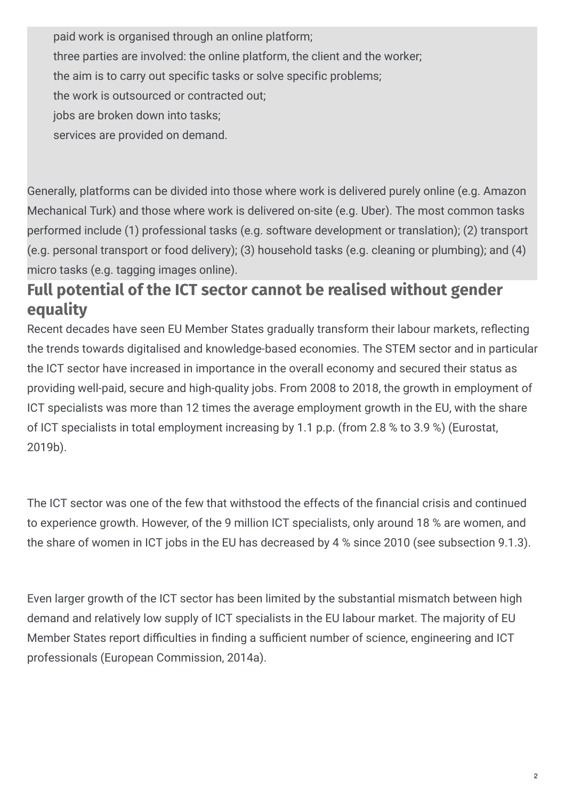paid work is organised through an online platform; three parties are involved: the online platform, the client and the worker; the aim is to carry out specific tasks or solve specific problems; the work is outsourced or contracted out; jobs are broken down into tasks; services are provided on demand.

Generally, platforms can be divided into those where work is delivered purely online (e.g. Amazon Mechanical Turk) and those where work is delivered on-site (e.g. Uber). The most common tasks performed include (1) professional tasks (e.g. software development or translation); (2) transport (e.g. personal transport or food delivery); (3) household tasks (e.g. cleaning or plumbing); and (4) micro tasks (e.g. tagging images online).

#### **Full potential of the ICT sector cannot be realised without gender equality**

Recent decades have seen EU Member States gradually transform their labour markets, reflecting the trends towards digitalised and knowledge-based economies. The STEM sector and in particular the ICT sector have increased in importance in the overall economy and secured their status as providing well-paid, secure and high-quality jobs. From 2008 to 2018, the growth in employment of ICT specialists was more than 12 times the average employment growth in the EU, with the share of ICT specialists in total employment increasing by 1.1 p.p. (from 2.8 % to 3.9 %) (Eurostat, 2019b).

The ICT sector was one of the few that withstood the effects of the financial crisis and continued to experience growth. However, of the 9 million ICT specialists, only around 18 % are women, and the share of women in ICT jobs in the EU has decreased by 4 % since 2010 (see subsection 9.1.3).

Even larger growth of the ICT sector has been limited by the substantial mismatch between high demand and relatively low supply of ICT specialists in the EU labour market. The majority of EU Member States report difficulties in finding a sufficient number of science, engineering and ICT professionals (European Commission, 2014a).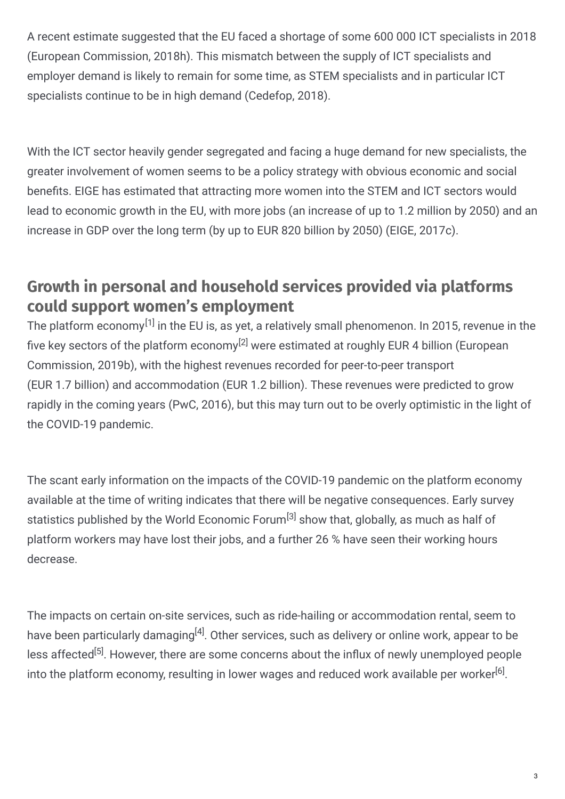A recent estimate suggested that the EU faced a shortage of some 600 000 ICT specialists in 2018 (European Commission, 2018h). This mismatch between the supply of ICT specialists and employer demand is likely to remain for some time, as STEM specialists and in particular ICT specialists continue to be in high demand (Cedefop, 2018).

With the ICT sector heavily gender segregated and facing a huge demand for new specialists, the greater involvement of women seems to be a policy strategy with obvious economic and social benefits. EIGE has estimated that attracting more women into the STEM and ICT sectors would lead to economic growth in the EU, with more jobs (an increase of up to 1.2 million by 2050) and an increase in GDP over the long term (by up to EUR 820 billion by 2050) (EIGE, 2017c).

#### **Growth in personal and household services provided via platforms could support women's employment**

The platform economy $^{[1]}$  in the EU is, as yet, a relatively small phenomenon. In 2015, revenue in the five key sectors of the platform economy<sup>[2]</sup> were estimated at roughly EUR 4 billion (European Commission, 2019b), with the highest revenues recorded for peer-to-peer transport (EUR 1.7 billion) and accommodation (EUR 1.2 billion). These revenues were predicted to grow rapidly in the coming years (PwC, 2016), but this may turn out to be overly optimistic in the light of the COVID-19 pandemic.

The scant early information on the impacts of the COVID-19 pandemic on the platform economy available at the time of writing indicates that there will be negative consequences. Early survey statistics published by the World Economic Forum<sup>[3]</sup> show that, globally, as much as half of platform workers may have lost their jobs, and a further 26 % have seen their working hours decrease.

The impacts on certain on-site services, such as ride-hailing or accommodation rental, seem to have been particularly damaging $^{[4]}$ . Other services, such as delivery or online work, appear to be less affected<sup>[5]</sup>. However, there are some concerns about the influx of newly unemployed people into the platform economy, resulting in lower wages and reduced work available per worker $^{[6]}$ .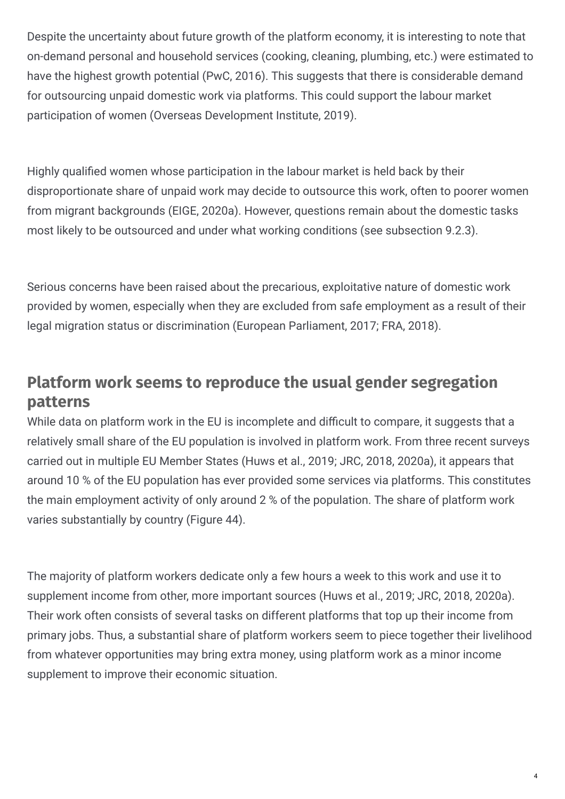Despite the uncertainty about future growth of the platform economy, it is interesting to note that on-demand personal and household services (cooking, cleaning, plumbing, etc.) were estimated to have the highest growth potential (PwC, 2016). This suggests that there is considerable demand for outsourcing unpaid domestic work via platforms. This could support the labour market participation of women (Overseas Development Institute, 2019).

Highly qualified women whose participation in the labour market is held back by their disproportionate share of unpaid work may decide to outsource this work, often to poorer women from migrant backgrounds (EIGE, 2020a). However, questions remain about the domestic tasks most likely to be outsourced and under what working conditions (see subsection 9.2.3).

Serious concerns have been raised about the precarious, exploitative nature of domestic work provided by women, especially when they are excluded from safe employment as a result of their legal migration status or discrimination (European Parliament, 2017; FRA, 2018).

### **Platform work seems to reproduce the usual gender segregation patterns**

While data on platform work in the EU is incomplete and difficult to compare, it suggests that a relatively small share of the EU population is involved in platform work. From three recent surveys carried out in multiple EU Member States (Huws et al., 2019; JRC, 2018, 2020a), it appears that around 10 % of the EU population has ever provided some services via platforms. This constitutes the main employment activity of only around 2 % of the population. The share of platform work varies substantially by country (Figure 44).

The majority of platform workers dedicate only a few hours a week to this work and use it to supplement income from other, more important sources (Huws et al., 2019; JRC, 2018, 2020a). Their work often consists of several tasks on different platforms that top up their income from primary jobs. Thus, a substantial share of platform workers seem to piece together their livelihood from whatever opportunities may bring extra money, using platform work as a minor income supplement to improve their economic situation.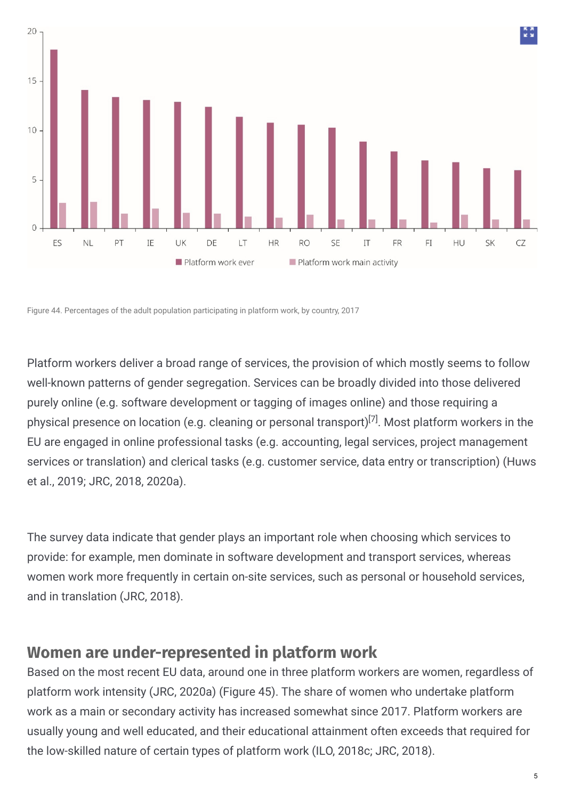

Figure 44. Percentages of the adult population participating in platform work, by country, 2017

Platform workers deliver a broad range of services, the provision of which mostly seems to follow well-known patterns of gender segregation. Services can be broadly divided into those delivered purely online (e.g. software development or tagging of images online) and those requiring a physical presence on location (e.g. cleaning or personal transport)<sup>[7]</sup>. Most platform workers in the EU are engaged in online professional tasks (e.g. accounting, legal services, project management services or translation) and clerical tasks (e.g. customer service, data entry or transcription) (Huws et al., 2019; JRC, 2018, 2020a).

The survey data indicate that gender plays an important role when choosing which services to provide: for example, men dominate in software development and transport services, whereas women work more frequently in certain on-site services, such as personal or household services, and in translation (JRC, 2018).

#### **Women are under-represented in platform work**

Based on the most recent EU data, around one in three platform workers are women, regardless of platform work intensity (JRC, 2020a) (Figure 45). The share of women who undertake platform work as a main or secondary activity has increased somewhat since 2017. Platform workers are usually young and well educated, and their educational attainment often exceeds that required for the low-skilled nature of certain types of platform work (ILO, 2018c; JRC, 2018).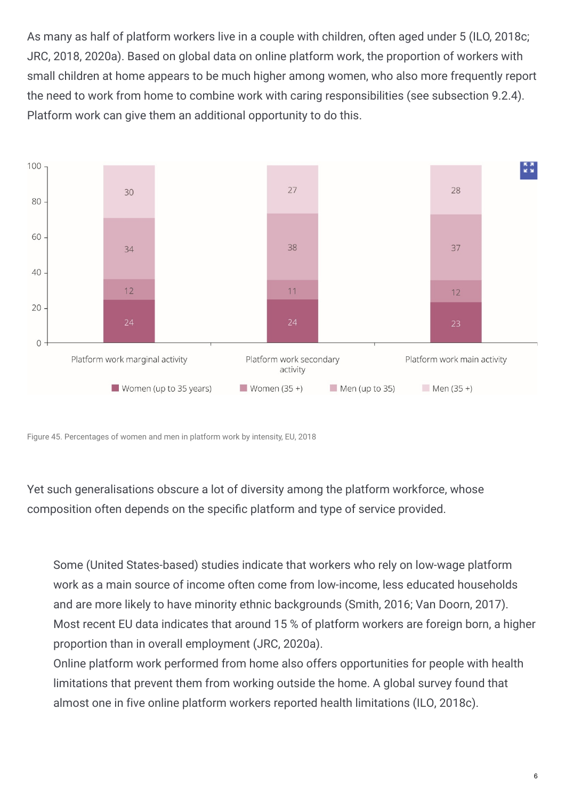As many as half of platform workers live in a couple with children, often aged under 5 (ILO, 2018c; JRC, 2018, 2020a). Based on global data on online platform work, the proportion of workers with small children at home appears to be much higher among women, who also more frequently report the need to work from home to combine work with caring responsibilities (see subsection 9.2.4). Platform work can give them an additional opportunity to do this.



Figure 45. Percentages of women and men in platform work by intensity, EU, 2018

Yet such generalisations obscure a lot of diversity among the platform workforce, whose composition often depends on the specific platform and type of service provided.

Some (United States-based) studies indicate that workers who rely on low-wage platform work as a main source of income often come from low-income, less educated households and are more likely to have minority ethnic backgrounds (Smith, 2016; Van Doorn, 2017). Most recent EU data indicates that around 15 % of platform workers are foreign born, a higher proportion than in overall employment (JRC, 2020a).

Online platform work performed from home also offers opportunities for people with health limitations that prevent them from working outside the home. A global survey found that almost one in five online platform workers reported health limitations (ILO, 2018c).